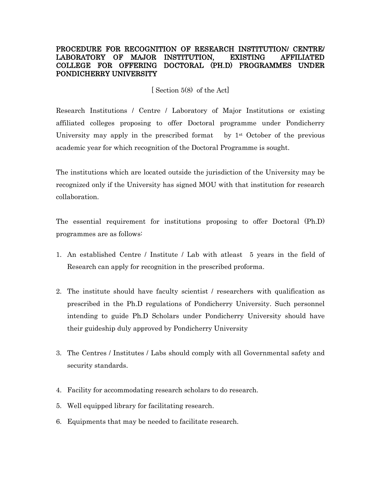## PROCEDURE FOR RECOGNITION OF RESEARCH INSTITUTION/ CENTRE/ LABORATORY OF MAJOR INSTITUTION, EXISTING AFFILIATED COLLEGE FOR OFFERING DOCTORAL (PH.D) PROGRAMMES UNDER PONDICHERRY UNIVERSITY

[ Section 5(8) of the Act]

Research Institutions / Centre / Laboratory of Major Institutions or existing affiliated colleges proposing to offer Doctoral programme under Pondicherry University may apply in the prescribed format by  $1^{st}$  October of the previous academic year for which recognition of the Doctoral Programme is sought.

The institutions which are located outside the jurisdiction of the University may be recognized only if the University has signed MOU with that institution for research collaboration.

The essential requirement for institutions proposing to offer Doctoral (Ph.D) programmes are as follows:

- 1. An established Centre / Institute / Lab with atleast 5 years in the field of Research can apply for recognition in the prescribed proforma.
- 2. The institute should have faculty scientist / researchers with qualification as prescribed in the Ph.D regulations of Pondicherry University. Such personnel intending to guide Ph.D Scholars under Pondicherry University should have their guideship duly approved by Pondicherry University
- 3. The Centres / Institutes / Labs should comply with all Governmental safety and security standards.
- 4. Facility for accommodating research scholars to do research.
- 5. Well equipped library for facilitating research.
- 6. Equipments that may be needed to facilitate research.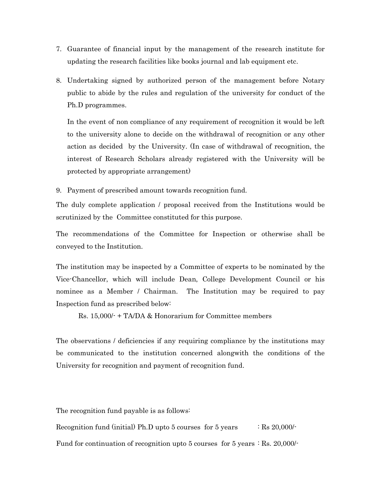- 7. Guarantee of financial input by the management of the research institute for updating the research facilities like books journal and lab equipment etc.
- 8. Undertaking signed by authorized person of the management before Notary public to abide by the rules and regulation of the university for conduct of the Ph.D programmes.

In the event of non compliance of any requirement of recognition it would be left to the university alone to decide on the withdrawal of recognition or any other action as decided by the University. (In case of withdrawal of recognition, the interest of Research Scholars already registered with the University will be protected by appropriate arrangement)

9. Payment of prescribed amount towards recognition fund.

The duly complete application / proposal received from the Institutions would be scrutinized by the Committee constituted for this purpose.

The recommendations of the Committee for Inspection or otherwise shall be conveyed to the Institution.

The institution may be inspected by a Committee of experts to be nominated by the Vice-Chancellor, which will include Dean, College Development Council or his nominee as a Member / Chairman. The Institution may be required to pay Inspection fund as prescribed below:

Rs. 15,000/- + TA/DA & Honorarium for Committee members

The observations / deficiencies if any requiring compliance by the institutions may be communicated to the institution concerned alongwith the conditions of the University for recognition and payment of recognition fund.

The recognition fund payable is as follows: Recognition fund (initial) Ph.D upto 5 courses for 5 years  $\therefore$  Rs 20,000/-Fund for continuation of recognition upto 5 courses for 5 years : Rs. 20,000/-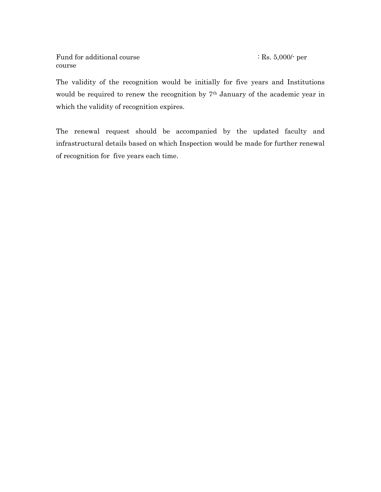Fund for additional course  $:$  Rs. 5,000/- per course

The validity of the recognition would be initially for five years and Institutions would be required to renew the recognition by 7th January of the academic year in which the validity of recognition expires.

The renewal request should be accompanied by the updated faculty and infrastructural details based on which Inspection would be made for further renewal of recognition for five years each time.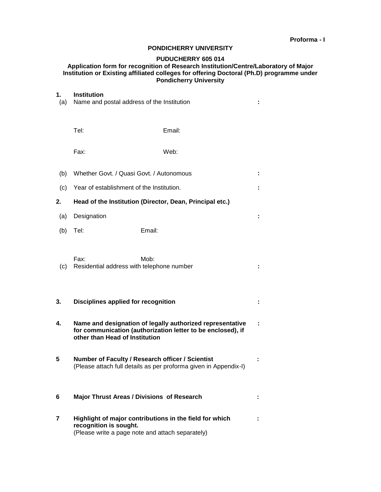### **PONDICHERRY UNIVERSITY**

## **PUDUCHERRY 605 014**

#### **Application form for recognition of Research Institution/Centre/Laboratory of Major Institution or Existing affiliated colleges for offering Doctoral (Ph.D) programme under Pondicherry University**

# **1. Institution**

| (a) | Name and postal address of the Institution                                                                                                                 |                                                   |  |  |  |
|-----|------------------------------------------------------------------------------------------------------------------------------------------------------------|---------------------------------------------------|--|--|--|
|     | Tel:                                                                                                                                                       | Email:                                            |  |  |  |
|     | Fax:                                                                                                                                                       | Web:                                              |  |  |  |
| (b) | Whether Govt. / Quasi Govt. / Autonomous                                                                                                                   |                                                   |  |  |  |
| (c) | Year of establishment of the Institution.                                                                                                                  |                                                   |  |  |  |
| 2.  | Head of the Institution (Director, Dean, Principal etc.)                                                                                                   |                                                   |  |  |  |
| (a) | Designation                                                                                                                                                |                                                   |  |  |  |
| (b) | Tel:                                                                                                                                                       | Email:                                            |  |  |  |
| (c) | Fax:<br>Residential address with telephone number                                                                                                          | Mob:                                              |  |  |  |
| 3.  | <b>Disciplines applied for recognition</b>                                                                                                                 |                                                   |  |  |  |
| 4.  | Name and designation of legally authorized representative<br>for communication (authorization letter to be enclosed), if<br>other than Head of Institution |                                                   |  |  |  |
| 5   | Number of Faculty / Research officer / Scientist<br>(Please attach full details as per proforma given in Appendix-I)                                       |                                                   |  |  |  |
| 6   |                                                                                                                                                            | <b>Major Thrust Areas / Divisions of Research</b> |  |  |  |
| 7   | Highlight of major contributions in the field for which<br>recognition is sought.<br>(Please write a page note and attach separately)                      |                                                   |  |  |  |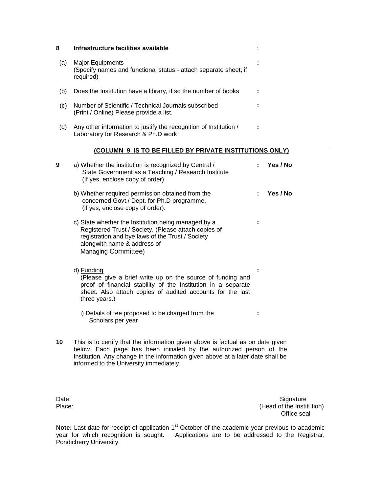| 8   | Infrastructure facilities available                                                                                                                                                                                          |  |          |
|-----|------------------------------------------------------------------------------------------------------------------------------------------------------------------------------------------------------------------------------|--|----------|
| (a) | <b>Major Equipments</b><br>(Specify names and functional status - attach separate sheet, if<br>required)                                                                                                                     |  |          |
| (b) | Does the Institution have a library, if so the number of books                                                                                                                                                               |  |          |
| (c) | Number of Scientific / Technical Journals subscribed<br>(Print / Online) Please provide a list.                                                                                                                              |  |          |
| (d) | Any other information to justify the recognition of Institution /<br>Laboratory for Research & Ph.D work                                                                                                                     |  |          |
|     | (COLUMN 9 IS TO BE FILLED BY PRIVATE INSTITUTIONS ONLY)                                                                                                                                                                      |  |          |
| 9   | a) Whether the institution is recognized by Central /<br>State Government as a Teaching / Research Institute<br>(If yes, enclose copy of order)                                                                              |  | Yes / No |
|     | b) Whether required permission obtained from the<br>concerned Govt./ Dept. for Ph.D programme.<br>(if yes, enclose copy of order).                                                                                           |  | Yes / No |
|     | c) State whether the Institution being managed by a<br>Registered Trust / Society. (Please attach copies of<br>registration and bye laws of the Trust / Society<br>alongwith name & address of<br><b>Managing Committee)</b> |  |          |
|     | d) Funding<br>(Please give a brief write up on the source of funding and<br>proof of financial stability of the Institution in a separate<br>sheet. Also attach copies of audited accounts for the last<br>three years.)     |  |          |
|     | i) Details of fee proposed to be charged from the<br>Scholars per year                                                                                                                                                       |  |          |

**10** This is to certify that the information given above is factual as on date given below. Each page has been initialed by the authorized person of the Institution. Any change in the information given above at a later date shall be informed to the University immediately.

Date: Signature Signature Signature Signature Signature Signature Signature Signature Signature Signature Signature Signature  $P$ lace: (Head of the Institution) Office seal

Note: Last date for receipt of application 1<sup>st</sup> October of the academic year previous to academic year for which recognition is sought. Applications are to be addressed to the Registrar, Pondicherry University.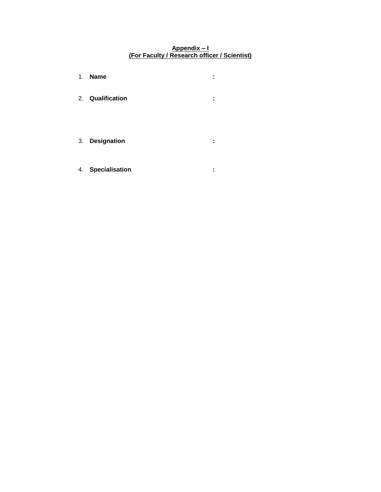### **Appendix – I (For Faculty / Research officer / Scientist)**

- 1. **Name :** 2. **Qualification :** 3. **Designation :**
- 4. **Specialisation :**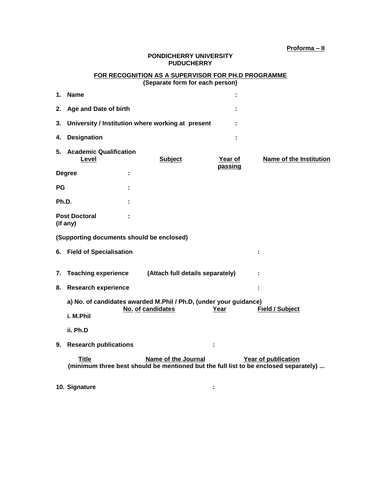### **PONDICHERRY UNIVERSITY PUDUCHERRY**

### **FOR RECOGNITION AS A SUPERVISOR FOR PH.D PROGRAMME (Separate form for each person)**

| 1.                                        | <b>Name</b>                                                                                                              |                     |         |                                |  |  |  |  |
|-------------------------------------------|--------------------------------------------------------------------------------------------------------------------------|---------------------|---------|--------------------------------|--|--|--|--|
| 2.                                        | Age and Date of birth                                                                                                    |                     |         |                                |  |  |  |  |
| 3.                                        | University / Institution where working at present                                                                        |                     |         |                                |  |  |  |  |
| 4.                                        | <b>Designation</b>                                                                                                       |                     |         |                                |  |  |  |  |
| 5.                                        | <b>Academic Qualification</b><br>Level                                                                                   | <b>Subject</b>      | Year of | <b>Name of the Institution</b> |  |  |  |  |
|                                           | <b>Degree</b>                                                                                                            |                     | passing |                                |  |  |  |  |
| РG                                        |                                                                                                                          |                     |         |                                |  |  |  |  |
| Ph.D.                                     |                                                                                                                          |                     |         |                                |  |  |  |  |
| <b>Post Doctoral</b><br>(if any)          |                                                                                                                          |                     |         |                                |  |  |  |  |
| (Supporting documents should be enclosed) |                                                                                                                          |                     |         |                                |  |  |  |  |
|                                           | 6. Field of Specialisation                                                                                               |                     |         | ÷                              |  |  |  |  |
| 7.                                        | <b>Teaching experience</b><br>(Attach full details separately)                                                           |                     |         |                                |  |  |  |  |
| 8.                                        | <b>Research experience</b>                                                                                               |                     |         |                                |  |  |  |  |
|                                           | a) No. of candidates awarded M.Phil / Ph.D, (under your guidance)<br>No. of candidates<br>Year<br><b>Field / Subject</b> |                     |         |                                |  |  |  |  |
|                                           | i. M.Phil                                                                                                                |                     |         |                                |  |  |  |  |
|                                           | ii. Ph.D                                                                                                                 |                     |         |                                |  |  |  |  |
| 9.                                        | <b>Research publications</b>                                                                                             |                     |         |                                |  |  |  |  |
|                                           | <b>Title</b><br>(minimum three best should be mentioned but the full list to be enclosed separately)                     | Name of the Journal |         | Year of publication            |  |  |  |  |
|                                           | 10. Signature                                                                                                            |                     | ÷       |                                |  |  |  |  |